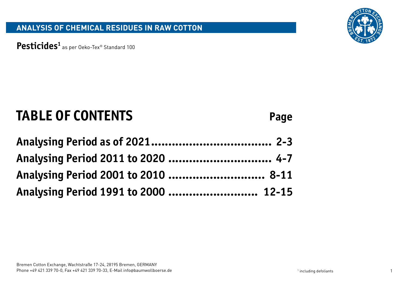

Pesticides<sup>1</sup> as per Oeko-Tex® Standard 100

# **TABLE OF CONTENTS Page**

| Analysing Period 2011 to 2020  4-7   |  |
|--------------------------------------|--|
| Analysing Period 2001 to 2010  8-11  |  |
| Analysing Period 1991 to 2000  12-15 |  |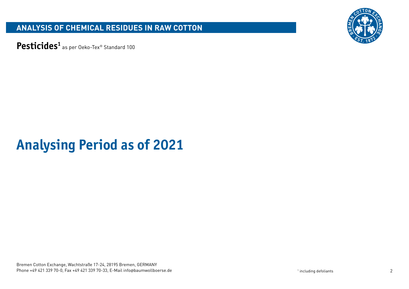

Pesticides<sup>1</sup> as per Oeko-Tex® Standard 100

# **Analysing Period as of 2021**

Bremen Cotton Exchange, Wachtstraße 17-24, 28195 Bremen, GERMANY Phone +49 421 339 70-0, Fax +49 421 339 70-33, E-Mail info@baumwollboerse.de 2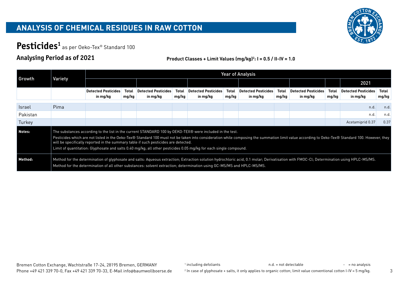

# Pesticides<sup>1</sup> as per Oeko-Tex® Standard 100

#### **Analysing Period as of 2021**

#### **Product Classes + Limit Values (mg/kg)2 : I = 0.5 / II-IV = 1.0**

|               |                                                                                                                                                                                                                                                                                                                                                                                                                                                                                                                         |                                                                                                                                                                                                                                                                                                                    |                |                                        |                |                                        |                       | <b>Year of Analysis</b>                |                |                                        |                |                                        |                |
|---------------|-------------------------------------------------------------------------------------------------------------------------------------------------------------------------------------------------------------------------------------------------------------------------------------------------------------------------------------------------------------------------------------------------------------------------------------------------------------------------------------------------------------------------|--------------------------------------------------------------------------------------------------------------------------------------------------------------------------------------------------------------------------------------------------------------------------------------------------------------------|----------------|----------------------------------------|----------------|----------------------------------------|-----------------------|----------------------------------------|----------------|----------------------------------------|----------------|----------------------------------------|----------------|
| Growth        | Variety                                                                                                                                                                                                                                                                                                                                                                                                                                                                                                                 |                                                                                                                                                                                                                                                                                                                    |                |                                        |                |                                        |                       |                                        |                |                                        |                | 2021                                   |                |
|               |                                                                                                                                                                                                                                                                                                                                                                                                                                                                                                                         | <b>Detected Pesticides</b><br>in mg/kg                                                                                                                                                                                                                                                                             | Total<br>mg/kg | <b>Detected Pesticides</b><br>in mg/kg | Total<br>mg/kg | <b>Detected Pesticides</b><br>in mg/kg | <b>Total</b><br>mg/kg | <b>Detected Pesticides</b><br>in mg/kg | Total<br>mg/kg | <b>Detected Pesticides</b><br>in mg/kg | Total<br>mg/kg | <b>Detected Pesticides</b><br>in mg/kg | Total<br>mg/kg |
| <b>Israel</b> | Pima                                                                                                                                                                                                                                                                                                                                                                                                                                                                                                                    |                                                                                                                                                                                                                                                                                                                    |                |                                        |                |                                        |                       |                                        |                |                                        |                |                                        | n.d.           |
| Pakistan      |                                                                                                                                                                                                                                                                                                                                                                                                                                                                                                                         |                                                                                                                                                                                                                                                                                                                    |                |                                        |                |                                        |                       |                                        |                |                                        |                | n.d                                    | n.d.           |
| Turkey        |                                                                                                                                                                                                                                                                                                                                                                                                                                                                                                                         |                                                                                                                                                                                                                                                                                                                    |                |                                        |                |                                        |                       |                                        |                |                                        |                | Acetamiprid 0.37                       | 0.37           |
| Notes:        | The substances according to the list in the current STANDARD 100 by OEKO-TEX® were included in the test.<br>Pesticides which are not listed in the Oeko-Tex® Standard 100 must not be taken into consideration while composing the summation limit value according to Oeko-Tex® Standard 100. However, they<br>will be specifically reported in the summary table if such pesticides are detected.<br>Limit of quantitation: Glyphosate and salts 0.40 mg/kg; all other pesticides 0.05 mg/kg for each single compound. |                                                                                                                                                                                                                                                                                                                    |                |                                        |                |                                        |                       |                                        |                |                                        |                |                                        |                |
| Method:       |                                                                                                                                                                                                                                                                                                                                                                                                                                                                                                                         | Method for the determination of glyphosate and salts: Aqueous extraction; Extraction solution hydrochloric acid, 0.1 molar; Derivatisation with FMOC-Cl; Determination using HPLC-MS/MS.<br>Method for the determination of all other substances: solvent extraction; determination using GC-MS/MS and HPLC-MS/MS. |                |                                        |                |                                        |                       |                                        |                |                                        |                |                                        |                |

<sup>1</sup> including defoliants and the state of the number of the not detectable  $-$  = no analysis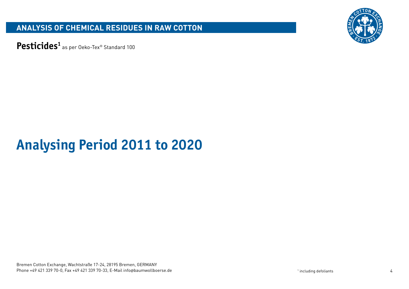

Pesticides<sup>1</sup> as per Oeko-Tex® Standard 100

# **Analysing Period 2011 to 2020**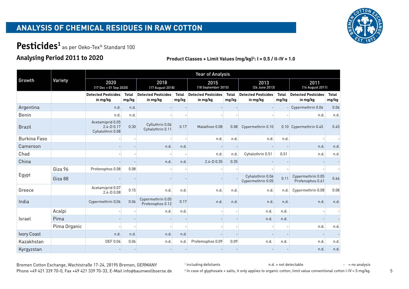

# Pesticides<sup>1</sup> as per Oeko-Tex® Standard 100

## **Analysing Period 2011 to 2020**

**Product Classes + Limit Values (mg/kg)2 : I = 0.5 / II-IV = 1.0**

|                     |              |                                                        |                       |                                        |                       | <b>Year of Analysis</b>                |                       |                                        |                       |                                        |                       |
|---------------------|--------------|--------------------------------------------------------|-----------------------|----------------------------------------|-----------------------|----------------------------------------|-----------------------|----------------------------------------|-----------------------|----------------------------------------|-----------------------|
| Growth              | Variety      | 2020<br>(17 Dec + 01 Sep 2020)                         |                       | 2018<br>[17 August 2018]               |                       | 2015<br>(18 September 2015)            |                       | 2013<br>(26 June 2013)                 |                       | 2011<br>(16 August 2011)               |                       |
|                     |              | <b>Detected Pesticides</b><br>in mg/kg                 | <b>Total</b><br>mg/kg | <b>Detected Pesticides</b><br>in mg/kg | <b>Total</b><br>mg/kg | <b>Detected Pesticides</b><br>in mg/kg | <b>Total</b><br>mg/kg | <b>Detected Pesticides</b><br>in mg/kg | <b>Total</b><br>mg/kg | <b>Detected Pesticides</b><br>in mg/kg | <b>Total</b><br>mg/kg |
| Argentina           |              | n.d.                                                   | n.d.                  |                                        |                       |                                        |                       |                                        |                       | $-$ Cypermethrin 0.06                  | 0.06                  |
| Benin               |              | n.d.                                                   | n.d.                  |                                        |                       |                                        |                       |                                        |                       | n.d.                                   | n.d.                  |
| <b>Brazil</b>       |              | Acetamiprid 0.05<br>$2.4 - D$ 0.17<br>Cyhalothrin 0.08 | 0.30                  | Cyfluthrin 0.06<br>Cyhalothrin 0.11    | 0.17                  | Malathion 0.08                         | 0.08                  | Cypermethrin 0.10                      |                       | 0.10 Cypermethrin 0.45                 | 0.45                  |
| <b>Burkina Faso</b> |              |                                                        |                       |                                        |                       | n.d.                                   | n.d.                  | n.d.                                   | n.d.                  |                                        |                       |
| Cameroon            |              |                                                        |                       | n.d.                                   | n.d.                  |                                        |                       |                                        |                       | n.d.                                   | n.d.                  |
| Chad                |              |                                                        |                       |                                        |                       | n.d.                                   | n.d.                  | Cyhalothrin 0.51                       | 0.51                  | n.d.                                   | n.d.                  |
| China               |              |                                                        |                       | n.d.                                   | n.d.                  | $2.4 - D$ 0.35                         | 0.35                  |                                        |                       |                                        |                       |
|                     | Giza 96      | Profenophos 0.08                                       | 0.08                  |                                        |                       |                                        |                       |                                        |                       |                                        |                       |
| Egypt               | Giza 88      |                                                        |                       |                                        |                       |                                        |                       | Cyhalothrin 0.06<br>Cypermethrin 0.05  | 0.11                  | Cypermethrin 0.05<br>Profenophos 0.61  | 0.66                  |
| Greece              |              | Acetamiprid 0.07<br>$2.4 - D$ 0.08                     | 0.15                  | n.d.                                   | n.d.                  | n.d.                                   | n.d.                  | n.d.                                   | n.d.                  | Cypermethrin 0.08                      | 0.08                  |
| India               |              | Cypermethrin 0,06                                      | 0.06                  | Cypermethrin 0.05<br>Profenophos 0.12  | 0.17                  | n.d.                                   | n.d.                  | n.d.                                   | n.d.                  | n.d.                                   | n.d.                  |
|                     | Acalpi       |                                                        |                       | n.d.                                   | n.d.                  |                                        |                       | n.d.                                   | n.d.                  |                                        |                       |
| Israel              | Pima         |                                                        |                       |                                        |                       |                                        |                       | n.d.                                   | n.d.                  |                                        |                       |
|                     | Pima Organic |                                                        |                       |                                        |                       |                                        |                       |                                        |                       | n.d.                                   | n.d.                  |
| Ivory Coast         |              | n.d.                                                   | n.d.                  | n.d.                                   | n.d.                  |                                        |                       |                                        |                       |                                        |                       |
| Kazakhstan          |              | DEF 0.06                                               | 0.06                  | n.d.                                   | n.d.                  | Profemophos 0.09                       | 0.09                  | n.d.                                   | n.d.                  | n.d.                                   | n.d.                  |
| Kyrgyzstan          |              |                                                        |                       |                                        |                       |                                        |                       |                                        |                       | n.d.                                   | n.d.                  |

Bremen Cotton Exchange, Wachtstraße 17-24, 28195 Bremen, GERMANY

<sup>1</sup> including defoliants and the state of the number of the not detectable

 $-$  = no analysis

Phone +49 421 339 70-0, Fax +49 421 339 70-33, E-Mail info@baumwollboerse.de <sup>2</sup> In case of glyphosate + salts, it only applies to organic cotton; limit value conventional cotton I-IV = 5 mg/kg. 5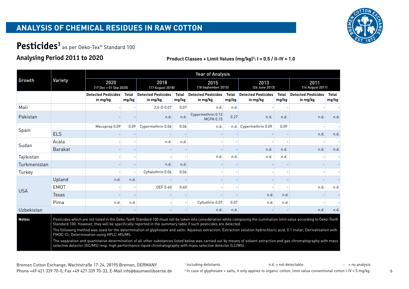

# Pesticides<sup>1</sup> as per Oeko-Tex® Standard 100

## **Analysing Period 2011 to 2020**

|              |                |                                                                                                               |                                                                                                                                                                                                                                                                                                                                                                                                                                                                                                                                                                                                                                                                                                                                                                                                            |                                        |                | <b>Year of Analysis</b>                |                       |                                        |                       |                                        |                       |
|--------------|----------------|---------------------------------------------------------------------------------------------------------------|------------------------------------------------------------------------------------------------------------------------------------------------------------------------------------------------------------------------------------------------------------------------------------------------------------------------------------------------------------------------------------------------------------------------------------------------------------------------------------------------------------------------------------------------------------------------------------------------------------------------------------------------------------------------------------------------------------------------------------------------------------------------------------------------------------|----------------------------------------|----------------|----------------------------------------|-----------------------|----------------------------------------|-----------------------|----------------------------------------|-----------------------|
| Growth       | Variety        | 2020                                                                                                          | (17 Dec + 01 Sep 2020)<br><b>Total</b><br>in mg/kg<br>mg/kg<br>Mecoprop 0.09<br>0.09<br>n.d.<br>n.d.<br>n.d.<br>n.d.<br>Pesticides which are not listed in the Oeko-Tex® Standard 100 must not be taken into consideration while composing the summation limit value according to Oeko-Tex®<br>Standard 100. However, they will be specifically reported in the summary table if such pesticides are detected.<br>The following method was used for the determination of glyphosate and salts: Aqueous extraction; Extraction solution hydrochloric acid, 0.1 molar; Derivatisation with<br>FMOC-Cl; Determination using HPLC-MS/MS.<br>The separation and quantitative determination of all other substances listed below was carried out by means of solvent extraction and gas chromatography with mass | 2018<br>[17 August 2018]               |                | 2015<br>(18 September 2015)            |                       | 2013<br>(26 June 2013)                 |                       | 2011<br>(16 August 2011)               |                       |
|              |                | <b>Detected Pesticides</b>                                                                                    |                                                                                                                                                                                                                                                                                                                                                                                                                                                                                                                                                                                                                                                                                                                                                                                                            | <b>Detected Pesticides</b><br>in mg/kg | Total<br>mg/kg | <b>Detected Pesticides</b><br>in mg/kg | <b>Total</b><br>mg/kg | <b>Detected Pesticides</b><br>in mg/kg | <b>Total</b><br>mg/kg | <b>Detected Pesticides</b><br>in mg/kg | <b>Total</b><br>mg/kg |
| Mali         |                |                                                                                                               |                                                                                                                                                                                                                                                                                                                                                                                                                                                                                                                                                                                                                                                                                                                                                                                                            | $2.4 - D$ 0.07                         | 0.07           | n.d.                                   | n.d.                  |                                        |                       |                                        |                       |
| Pakistan     |                |                                                                                                               |                                                                                                                                                                                                                                                                                                                                                                                                                                                                                                                                                                                                                                                                                                                                                                                                            | n.d.                                   | n.d.           | Cypermethrin 0.12<br><b>MCPA 0.15</b>  | 0.27                  | n.d.                                   | n.d.                  | n.d.                                   | n.d.                  |
| Spain        |                |                                                                                                               |                                                                                                                                                                                                                                                                                                                                                                                                                                                                                                                                                                                                                                                                                                                                                                                                            | Cypermethrin 0.06                      | 0.06           | n.d.                                   |                       | n.d. Cypermethrin 0.09                 | 0.09                  |                                        |                       |
|              | <b>ELS</b>     |                                                                                                               |                                                                                                                                                                                                                                                                                                                                                                                                                                                                                                                                                                                                                                                                                                                                                                                                            |                                        |                |                                        |                       |                                        |                       | n.d.                                   | n.d.                  |
| Sudan        | Acala          |                                                                                                               |                                                                                                                                                                                                                                                                                                                                                                                                                                                                                                                                                                                                                                                                                                                                                                                                            | n.d.                                   | n.d.           |                                        |                       |                                        |                       |                                        |                       |
|              | <b>Barakat</b> |                                                                                                               |                                                                                                                                                                                                                                                                                                                                                                                                                                                                                                                                                                                                                                                                                                                                                                                                            |                                        |                |                                        |                       | n.d.                                   | n.d.                  | n.d.                                   | n.d.                  |
| Tajikistan   |                |                                                                                                               |                                                                                                                                                                                                                                                                                                                                                                                                                                                                                                                                                                                                                                                                                                                                                                                                            |                                        |                | n.d.                                   | n.d.                  | n.d.                                   | n.d.                  |                                        |                       |
| Turkmenistan |                |                                                                                                               |                                                                                                                                                                                                                                                                                                                                                                                                                                                                                                                                                                                                                                                                                                                                                                                                            | n.d.                                   | n.d.           |                                        |                       |                                        |                       |                                        |                       |
| Turkey       |                |                                                                                                               |                                                                                                                                                                                                                                                                                                                                                                                                                                                                                                                                                                                                                                                                                                                                                                                                            | Cyhalothrin 0.06                       | 0.06           |                                        |                       |                                        |                       |                                        |                       |
|              | Upland         |                                                                                                               |                                                                                                                                                                                                                                                                                                                                                                                                                                                                                                                                                                                                                                                                                                                                                                                                            |                                        |                |                                        |                       |                                        |                       |                                        |                       |
|              | <b>EMOT</b>    |                                                                                                               |                                                                                                                                                                                                                                                                                                                                                                                                                                                                                                                                                                                                                                                                                                                                                                                                            | DEF 0.40                               | 0.40           |                                        |                       |                                        |                       | n.d.                                   | n.d.                  |
| <b>USA</b>   | Texas          |                                                                                                               |                                                                                                                                                                                                                                                                                                                                                                                                                                                                                                                                                                                                                                                                                                                                                                                                            |                                        |                |                                        |                       | n.d.                                   | n.d.                  |                                        |                       |
|              | Pima           |                                                                                                               |                                                                                                                                                                                                                                                                                                                                                                                                                                                                                                                                                                                                                                                                                                                                                                                                            |                                        |                | Cyfluthrin 0.07                        | 0.07                  | n.d.                                   | n.d.                  |                                        |                       |
| Uzbekistan   |                |                                                                                                               |                                                                                                                                                                                                                                                                                                                                                                                                                                                                                                                                                                                                                                                                                                                                                                                                            |                                        |                | n.d                                    | n.d.                  |                                        |                       | n.d.                                   | n.d.                  |
| Notes:       |                |                                                                                                               |                                                                                                                                                                                                                                                                                                                                                                                                                                                                                                                                                                                                                                                                                                                                                                                                            |                                        |                |                                        |                       |                                        |                       |                                        |                       |
|              |                |                                                                                                               |                                                                                                                                                                                                                                                                                                                                                                                                                                                                                                                                                                                                                                                                                                                                                                                                            |                                        |                |                                        |                       |                                        |                       |                                        |                       |
|              |                | selective detector (GC/MS) resp. high performance liquid chromatography with mass selective detector (LC/MS). |                                                                                                                                                                                                                                                                                                                                                                                                                                                                                                                                                                                                                                                                                                                                                                                                            |                                        |                |                                        |                       |                                        |                       |                                        |                       |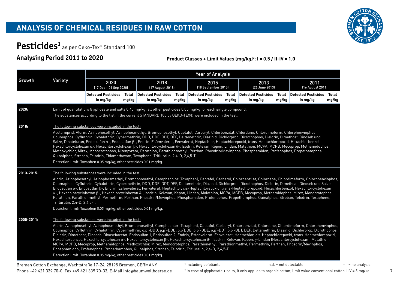

# Pesticides<sup>1</sup> as per Oeko-Tex® Standard 100

### **Analysing Period 2011 to 2020**

**Product Classes + Limit Values (mg/kg)2 : I = 0.5 / II-IV = 1.0**

|            |                              |                                                                                                                                                                                                                                                                                                                                                                                                                                                                                                                                                                                                                                                                                                                                                                                                                                                                                                                                                                                                                                                                             |                |                                        |       | <b>Year of Analysis</b>                      |                |                                        |                |                                        |                |
|------------|------------------------------|-----------------------------------------------------------------------------------------------------------------------------------------------------------------------------------------------------------------------------------------------------------------------------------------------------------------------------------------------------------------------------------------------------------------------------------------------------------------------------------------------------------------------------------------------------------------------------------------------------------------------------------------------------------------------------------------------------------------------------------------------------------------------------------------------------------------------------------------------------------------------------------------------------------------------------------------------------------------------------------------------------------------------------------------------------------------------------|----------------|----------------------------------------|-------|----------------------------------------------|----------------|----------------------------------------|----------------|----------------------------------------|----------------|
| Growth     | Variety                      | 2020<br>$(17$ Dec + 01 Sep 2020)                                                                                                                                                                                                                                                                                                                                                                                                                                                                                                                                                                                                                                                                                                                                                                                                                                                                                                                                                                                                                                            |                | 2018<br>[17 August 2018]               |       | 2015<br>[18 September 2015]                  |                | 2013<br>(26 June 2013)                 |                | 2011<br>[16 August 2011]               |                |
|            |                              | <b>Detected Pesticides</b><br>in mg/kg                                                                                                                                                                                                                                                                                                                                                                                                                                                                                                                                                                                                                                                                                                                                                                                                                                                                                                                                                                                                                                      | Total<br>mg/kg | <b>Detected Pesticides</b><br>in mg/kg | mg/kg | <b>Total Detected Pesticides</b><br>in mg/kg | Total<br>mg/kg | <b>Detected Pesticides</b><br>in mg/kg | Total<br>mg/kg | <b>Detected Pesticides</b><br>in mg/kg | Total<br>mg/kg |
| 2020:      |                              | Limit of quantitation: Glyphosate and salts 0.40 mg/kg; all other pesticides 0.05 mg/kg for each single compound.<br>The substances according to the list in the current STANDARD 100 by OEKO-TEX® were included in the test.                                                                                                                                                                                                                                                                                                                                                                                                                                                                                                                                                                                                                                                                                                                                                                                                                                               |                |                                        |       |                                              |                |                                        |                |                                        |                |
| 2018:      |                              | The following substances were included in the test:<br>Acetamiprid, Aldrin, Azinophosethyl, Azinophosmethyl, Bromophosethyl, Captafol, Carbaryl, Chlorbenzilat, Chlordane, Chlordimeform, Chlorphenvinphos,<br>Coumaphos, Cyfluthrin, Cyhalothrin, Cypermethrin, DDD, DDE, DDT, DEF, Deltamethrin, Diazin.d. Dichlorprop, Dicrothophos, Dieldrin, Dimethoat, Dinoseb und<br>Salze, Dinotefuran, Endosulfan α-, Endosulfan β-, Endrin, Esfenvalerat, Fenvalerat, Heptachlor, Heptachlorepoxid, trans-Heptachlorepoxid, Hexachlorbenzol,<br>Hexachlorcyclohexan α-, Hexachlorcyclohexan β-, Hexachlorcyclohexan δ-, Isodrin, Kelevan, Kepon, Lindan, Malathion, MCPA, MCPB, Mecoprop, Methamidophos,<br>Methoxychlor, Mirex, Monocrotophos, Nitenpyram, Parathion, Parathionmethyl, Perthan, Phosdrin/Mevinphos, Phosphamidon, Profenophos, Propethamphos,<br>Quinalphos, Stroban, Telodrin, Thiamethoxam, Toxaphene, Trifluralin, 2,4-D, 2,4,5-T.<br>Detection limit: Toxaphen 0.05 mg/kg; other pesticides 0.01 mg/kg.                                                      |                |                                        |       |                                              |                |                                        |                |                                        |                |
| 2013-2015: | Trifluralin, 2,4-D, 2,4,5-T. | The following substances were included in the test:<br>Aldrin, Azinophosethyl, Azinophosmethyl, Bromophosethyl, Camphechlor (Toxaphen), Captafol, Carbaryl, Chlorbenzilat, Chlordane, Chlordimeform, Chlorphenvinphos,<br>Coumaphos, Cyfluthrin, Cyhalothrin, Cypermethrin, DDD, DDE, DDT, DEF, Deltamethrin, Diazin.d. Dichlorprop, Dicrothophos, Dieldrin, Dimethoat, Dinoseb und Salze,<br>Endosulfan α-, Endosulfan β-, Endrin, Esfenvalerat, Fenvalerat, Heptachlor, cis-Heptachlorepoxid, trans-Heptachlorepoxid, Hexachlorbenzol, Hexachlorcyclohexan<br>α-, Hexachlorcyclohexan β-, Hexachlorcyclohexan δ-, Isodrin, Kelevan, Kepon, Lindan, Malathion, MCPA, MCPB, Mecoprop, Methamidophos, Mirex, Monocrotophos,<br>Parathion, Parathionmethyl, Permethrin, Perthan, Phosdrin/Mevinphos, Phosphamidon, Profenophos, Propethamphos, Quinalphos, Stroban, Telodrin, Toxaphene,<br>Detection limit: Toxaphen 0.05 mg/kg; other pesticides 0.01 mg/kg.                                                                                                                |                |                                        |       |                                              |                |                                        |                |                                        |                |
| 2005-2011: |                              | The following substances were included in the test:<br>Aldrin, Azinophosethyl, Azinophosmethyl, Bromophosethyl, Camphechlor (Toxaphen), Captafol, Carbaryl, Chlorbenzilat, Chlordane, Chlordimeform, Chlorphenvinphos,<br>Coumaphos, Cyfluthrin, Cyhalothrin, Cypermethrin, o.p'-DDD, p.p'-DDD, o.p'DDE, p.p'-DDE, o.p'-DDT, p.p'-DDT, DEF, Deltamethrin, Diazin.d. Dichlorprop, Dicrothophos,<br>Dieldrin, Dimethoat, Dinoseb, Dinosebacetat, Endosulfan 1, Endosulfan 2, Endrin, Esfenvalerat, Fenvalerat, Heptachlor, cis-Heptachlorepoxid, trans-Heptachlorepoxid,<br>Hexachlorbenzol, Hexachlorcyclohexan α-, Hexachlorcyclohexan β-, Hexachlorcyclohexan δ-, Isodrin, Kelevan, Kepon, γ-Lindan (Hexachlorcyclohexan), Malathion,<br>MCPA, MCPB, Mecoprop, Methamidophos, Methoxychlor, Mirex, Monocrotophos, Parathionethyl, Parathionmethyl, Permethrin, Perthan, Phosdrin/Mevinphos,<br>Phosphamidon, Profenophos, Propethamphos, Quinalphos, Stroban, Telodrin, Trifluralin, 2,4-D, 2,4,5-T.<br>Detection limit: Toxaphen 0.05 mg/kg; other pesticides 0.01 mg/kg. |                |                                        |       |                                              |                |                                        |                |                                        |                |

#### <sup>1</sup> including defoliants and the state of the number of the not detectable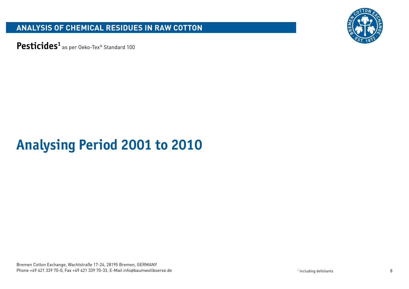

Pesticides<sup>1</sup> as per Oeko-Tex® Standard 100

# **Analysing Period 2001 to 2010**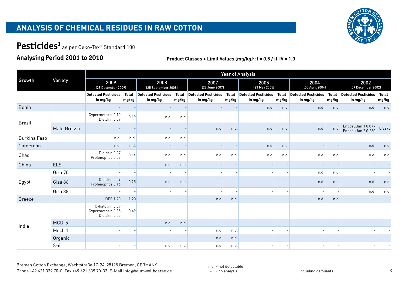

# Pesticides<sup>1</sup> as per Oeko-Tex® Standard 100

## **Analysing Period 2001 to 2010**

#### **Product Classes + Limit Values (mg/kg) 2 : I = 0.5 / II-IV = 1.0**

| Growth              |             |                                                       |                       |                                        |                       |                                        |                       | <b>Year of Analysis</b>                |                       |                                        |                       |                                        |                       |
|---------------------|-------------|-------------------------------------------------------|-----------------------|----------------------------------------|-----------------------|----------------------------------------|-----------------------|----------------------------------------|-----------------------|----------------------------------------|-----------------------|----------------------------------------|-----------------------|
|                     | Variety     | 2009<br>(28 December 2009)                            |                       | 2008<br>[25 September 2008]            |                       | 2007<br>(22 June 2007)                 |                       | 2005<br>[23 May 2005]                  |                       | 2004<br>(05 April 2004)                |                       | 2002<br>(09 December 2002)             |                       |
|                     |             | <b>Detected Pesticides</b><br>in mg/kg                | <b>Total</b><br>mg/kg | <b>Detected Pesticides</b><br>in mg/kg | <b>Total</b><br>mg/kg | <b>Detected Pesticides</b><br>in mg/kg | <b>Total</b><br>mg/kg | <b>Detected Pesticides</b><br>in mg/kg | <b>Total</b><br>mg/kg | <b>Detected Pesticides</b><br>in mg/kg | <b>Total</b><br>mg/kg | <b>Detected Pesticides</b><br>in mg/kg | <b>Total</b><br>mg/kg |
| Benin               |             |                                                       |                       |                                        |                       |                                        |                       | n.d.                                   | n.d.                  | n.d.                                   | n.d.                  | n.d.                                   | n.d.                  |
| <b>Brazil</b>       |             | Cypermethrin 0.10<br>Dieldrin 0.09                    | 0.19                  | n.d.                                   | n.d.                  |                                        |                       |                                        |                       |                                        |                       |                                        |                       |
|                     | Mato Grosso |                                                       |                       |                                        |                       | n.d.                                   | n.d.                  | n.d.                                   | n.d.                  | n.d.                                   | n.d                   | Endosulfan 10.077<br>Endosulfan 20.250 | 0.3270                |
| <b>Burkina Faso</b> |             | n.d.                                                  | n.d.                  | n.d.                                   | n.d.                  |                                        |                       |                                        |                       |                                        |                       |                                        |                       |
| Cameroon            |             | n.d.                                                  | n.d.                  |                                        |                       |                                        |                       | n.d.                                   | n.d.                  |                                        |                       | n.d.                                   | n.d.                  |
| Chad                |             | Dieldrin 0.07<br>Profenophos 0.07                     | 0.14                  | n.d.                                   | n.d.                  | n.d.                                   | n.d.                  | n.d.                                   | n.d.                  | n.d.                                   | n.d.                  | n.d.                                   | n.d.                  |
| China               | <b>ELS</b>  |                                                       |                       | n.d.                                   | n.d.                  |                                        |                       |                                        |                       |                                        |                       |                                        |                       |
|                     | Giza 70     |                                                       |                       |                                        |                       |                                        |                       |                                        |                       | n.d.                                   | n.d.                  |                                        |                       |
| Egypt               | Giza 86     | Dieldrin 0.09<br>Profenophos 0.16                     | 0.25                  | n.d.                                   | n.d.                  |                                        |                       |                                        |                       | n.d.                                   | n.d.                  | n.d.                                   | n.d.                  |
|                     | Giza 88     |                                                       |                       |                                        |                       |                                        |                       |                                        |                       |                                        |                       | n.d.                                   | n.d.                  |
| Greece              |             | <b>DEF 1.20</b>                                       | 1.20                  |                                        |                       | n.d.                                   | n.d.                  |                                        |                       | n.d.                                   | n.d.                  |                                        |                       |
|                     |             | Cyhalotrin 0.09<br>Cypermethrin 0.35<br>Dieldrin 0.05 | 0.49                  |                                        |                       |                                        |                       |                                        |                       |                                        |                       |                                        |                       |
|                     | MCU-5       |                                                       |                       | n.d.                                   | n.d.                  |                                        |                       |                                        |                       |                                        |                       |                                        |                       |
| India               | Mech 1      |                                                       |                       |                                        |                       | n.d.                                   | n.d.                  |                                        |                       |                                        |                       |                                        |                       |
|                     | Organic     |                                                       |                       |                                        |                       | n.d.                                   | n.d.                  |                                        |                       |                                        |                       |                                        |                       |
|                     | $S-6$       |                                                       |                       | n.d.                                   | n.d.                  | n.d.                                   | n.d.                  |                                        |                       |                                        |                       |                                        |                       |

n.d. = not detectable  $-$  = no analysis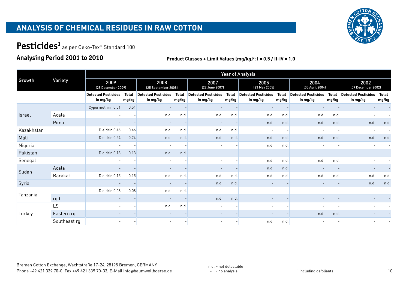

# Pesticides<sup>1</sup> as per Oeko-Tex® Standard 100

### **Analysing Period 2001 to 2010**

| Growth        |               |                                        |                       | <b>Year of Analysis</b>                |                       |                                        |                       |                                        |                       |                                        |                       |                                        |                       |
|---------------|---------------|----------------------------------------|-----------------------|----------------------------------------|-----------------------|----------------------------------------|-----------------------|----------------------------------------|-----------------------|----------------------------------------|-----------------------|----------------------------------------|-----------------------|
|               | Variety       | 2009<br>(28 December 2009)             |                       | 2008<br>[25 September 2008]            |                       | 2007<br>[22 June 2007]                 |                       | 2005<br>(23 May 2005)                  |                       | 2004<br>(05 April 2004)                |                       | 2002<br>(09 December 2002)             |                       |
|               |               | <b>Detected Pesticides</b><br>in mg/kg | <b>Total</b><br>mg/kg | <b>Detected Pesticides</b><br>in mg/kg | <b>Total</b><br>mg/kg | <b>Detected Pesticides</b><br>in mg/kg | <b>Total</b><br>mg/kg | <b>Detected Pesticides</b><br>in mg/kg | <b>Total</b><br>mg/kg | <b>Detected Pesticides</b><br>in mg/kg | <b>Total</b><br>mg/kg | <b>Detected Pesticides</b><br>in mg/kg | <b>Total</b><br>mg/kg |
|               |               | Cypermethrin 0.51                      | 0.51                  |                                        |                       |                                        |                       |                                        |                       |                                        |                       |                                        |                       |
| <b>Israel</b> | Acala         |                                        |                       | n.d.                                   | n.d.                  | n.d.                                   | n.d.                  | n.d.                                   | n.d.                  | n.d.                                   | n.d.                  |                                        |                       |
|               | Pima          |                                        |                       |                                        |                       |                                        |                       | n.d.                                   | n.d.                  | n.d.                                   | n.d.                  | n.d.                                   | n.d.                  |
| Kazakhstan    |               | Dieldrin 0.46                          | 0.46                  | n.d.                                   | n.d.                  | n.d.                                   | n.d.                  |                                        |                       |                                        |                       |                                        |                       |
| Mali          |               | Dieldrin 0.24                          | 0.24                  | n.d.                                   | n.d.                  | n.d.                                   | n.d.                  | n.d.                                   | n.d.                  | n.d.                                   | n.d.                  | n.d.                                   | n.d.                  |
| Nigeria       |               |                                        |                       |                                        |                       |                                        |                       | n.d.                                   | n.d.                  |                                        |                       |                                        |                       |
| Pakistan      |               | Dieldrin 0.13                          | 0.13                  | n.d.                                   | n.d.                  |                                        |                       | $\overline{\phantom{a}}$               |                       |                                        |                       |                                        |                       |
| Senegal       |               |                                        |                       |                                        |                       |                                        |                       | n.d.                                   | n.d.                  | n.d.                                   | n.d.                  |                                        |                       |
| Sudan         | Acala         |                                        |                       |                                        |                       |                                        |                       | n.d.                                   | n.d.                  |                                        |                       |                                        |                       |
|               | Barakat       | Dieldrin 0.15                          | 0.15                  | n.d.                                   | n.d.                  | n.d.                                   | n.d.                  | n.d.                                   | n.d.                  | n.d.                                   | n.d.                  | n.d.                                   | n.d.                  |
| Syria         |               |                                        |                       |                                        |                       | n.d.                                   | n.d.                  |                                        |                       |                                        |                       | n.d.                                   | n.d.                  |
|               |               | Dieldrin 0.08                          | 0.08                  | n.d.                                   | n.d.                  |                                        |                       |                                        |                       |                                        |                       |                                        |                       |
| Tanzania      | rgd.          |                                        |                       |                                        |                       | n.d.                                   | n.d.                  |                                        |                       |                                        |                       |                                        |                       |
|               | LS            |                                        |                       | n.d.                                   | n.d.                  |                                        |                       |                                        |                       |                                        |                       |                                        |                       |
| Turkey        | Eastern rg.   |                                        |                       |                                        |                       |                                        |                       |                                        |                       | n.d.                                   | n.d.                  |                                        |                       |
|               | Southeast rg. |                                        |                       |                                        |                       |                                        |                       | n.d.                                   | n.d.                  |                                        |                       |                                        |                       |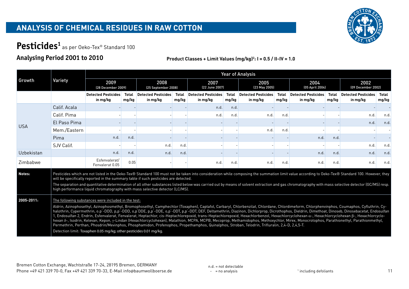

# Pesticides<sup>1</sup> as per Oeko-Tex® Standard 100

### **Analysing Period 2001 to 2010**

|            |                                                                                                                                                                                                                                                                                                                                                                                                                                                                                                                                                                                                                                                                                                                                                                                                                                                                                                                                                                                                                                                                                                      |                                        |                       |                                                                                                                                                                     |                       |                                                                                                                                                                                                                                                                                                                                                                                                        |                       | <b>Year of Analysis</b>                |                       |                                        |                       |                                        |                       |
|------------|------------------------------------------------------------------------------------------------------------------------------------------------------------------------------------------------------------------------------------------------------------------------------------------------------------------------------------------------------------------------------------------------------------------------------------------------------------------------------------------------------------------------------------------------------------------------------------------------------------------------------------------------------------------------------------------------------------------------------------------------------------------------------------------------------------------------------------------------------------------------------------------------------------------------------------------------------------------------------------------------------------------------------------------------------------------------------------------------------|----------------------------------------|-----------------------|---------------------------------------------------------------------------------------------------------------------------------------------------------------------|-----------------------|--------------------------------------------------------------------------------------------------------------------------------------------------------------------------------------------------------------------------------------------------------------------------------------------------------------------------------------------------------------------------------------------------------|-----------------------|----------------------------------------|-----------------------|----------------------------------------|-----------------------|----------------------------------------|-----------------------|
| Growth     | Variety                                                                                                                                                                                                                                                                                                                                                                                                                                                                                                                                                                                                                                                                                                                                                                                                                                                                                                                                                                                                                                                                                              | 2009<br>[28 December 2009]             |                       | 2008<br>[25 September 2008]                                                                                                                                         |                       | 2007<br>[22 June 2007]                                                                                                                                                                                                                                                                                                                                                                                 |                       | 2005<br>[23 May 2005]                  |                       | 2004<br>(05 April 2004)                |                       | 2002<br>(09 December 2002)             |                       |
|            |                                                                                                                                                                                                                                                                                                                                                                                                                                                                                                                                                                                                                                                                                                                                                                                                                                                                                                                                                                                                                                                                                                      | <b>Detected Pesticides</b><br>in mg/kg | <b>Total</b><br>mg/kg | <b>Detected Pesticides</b><br>in mg/kg                                                                                                                              | <b>Total</b><br>mg/kg | <b>Detected Pesticides</b><br>in mg/kg                                                                                                                                                                                                                                                                                                                                                                 | <b>Total</b><br>mg/kg | <b>Detected Pesticides</b><br>in mg/kg | <b>Total</b><br>mg/kg | <b>Detected Pesticides</b><br>in mg/kg | <b>Total</b><br>mg/kg | <b>Detected Pesticides</b><br>in mg/kg | <b>Total</b><br>mg/kg |
|            | Calif. Acala                                                                                                                                                                                                                                                                                                                                                                                                                                                                                                                                                                                                                                                                                                                                                                                                                                                                                                                                                                                                                                                                                         |                                        |                       |                                                                                                                                                                     |                       | n.d.                                                                                                                                                                                                                                                                                                                                                                                                   | n.d.                  |                                        |                       |                                        |                       |                                        |                       |
|            | Calif. Pima                                                                                                                                                                                                                                                                                                                                                                                                                                                                                                                                                                                                                                                                                                                                                                                                                                                                                                                                                                                                                                                                                          |                                        |                       |                                                                                                                                                                     |                       | n.d.                                                                                                                                                                                                                                                                                                                                                                                                   | n.d.                  | n.d.                                   | n.d.                  |                                        |                       | n.d.                                   | n.d.                  |
| <b>USA</b> | El Paso Pima                                                                                                                                                                                                                                                                                                                                                                                                                                                                                                                                                                                                                                                                                                                                                                                                                                                                                                                                                                                                                                                                                         |                                        |                       |                                                                                                                                                                     |                       |                                                                                                                                                                                                                                                                                                                                                                                                        |                       |                                        |                       |                                        |                       | n.d.                                   | n.d.                  |
|            | Mem./Eastern                                                                                                                                                                                                                                                                                                                                                                                                                                                                                                                                                                                                                                                                                                                                                                                                                                                                                                                                                                                                                                                                                         |                                        |                       |                                                                                                                                                                     |                       |                                                                                                                                                                                                                                                                                                                                                                                                        |                       | n.d.                                   | n.d.                  |                                        |                       |                                        |                       |
|            | Pima                                                                                                                                                                                                                                                                                                                                                                                                                                                                                                                                                                                                                                                                                                                                                                                                                                                                                                                                                                                                                                                                                                 | n.d.                                   | n.d.                  |                                                                                                                                                                     |                       |                                                                                                                                                                                                                                                                                                                                                                                                        |                       |                                        |                       | n.d.                                   | n.d.                  |                                        |                       |
|            | SJV Calif.                                                                                                                                                                                                                                                                                                                                                                                                                                                                                                                                                                                                                                                                                                                                                                                                                                                                                                                                                                                                                                                                                           |                                        |                       | n.d.                                                                                                                                                                | n.d.                  |                                                                                                                                                                                                                                                                                                                                                                                                        |                       |                                        |                       |                                        |                       | n.d.                                   | n.d.                  |
| Uzbekistan |                                                                                                                                                                                                                                                                                                                                                                                                                                                                                                                                                                                                                                                                                                                                                                                                                                                                                                                                                                                                                                                                                                      | n.d.                                   | n.d.                  | n.d.                                                                                                                                                                | n.d.                  |                                                                                                                                                                                                                                                                                                                                                                                                        |                       |                                        |                       | n.d.                                   | n.d.                  | n.d.                                   | n.d.                  |
| Zimbabwe   |                                                                                                                                                                                                                                                                                                                                                                                                                                                                                                                                                                                                                                                                                                                                                                                                                                                                                                                                                                                                                                                                                                      | Esfenvalerat/<br>Fenvalerat 0.05       | 0.05                  |                                                                                                                                                                     |                       | n.d.                                                                                                                                                                                                                                                                                                                                                                                                   | n.d.                  | n.d.                                   | n.d.                  | n.d.                                   | n.d.                  | n.d.                                   | n.d                   |
| Notes:     |                                                                                                                                                                                                                                                                                                                                                                                                                                                                                                                                                                                                                                                                                                                                                                                                                                                                                                                                                                                                                                                                                                      |                                        |                       | will be specifically reported in the summary table if such pesticides are detected.<br>high performance liquid chromatography with mass selective detector (LC/MS). |                       | Pesticides which are not listed in the Oeko-Tex® Standard 100 must not be taken into consideration while composing the summation limit value according to Oeko-Tex® Standard 100. However, they<br>The separation and quantitative determination of all other substances listed below was carried out by means of solvent extraction and gas chromatography with mass selective detector (GC/MS) resp. |                       |                                        |                       |                                        |                       |                                        |                       |
| 2005-2011: | The following substances were included in the test:<br>Aldrin, Azinophosethyl, Azinophosmethyl, Bromophosethyl, Camphechlor (Toxaphen), Captafol, Carbaryl, Chlorbenzilat, Chlordane, Chlordimeform, Chlorphenvinphos, Coumaphos, Cyfluthrin, Cy-<br>halothrin, Cypermethrin, o.p'-DDD, p,p'-DDD, o,p'DDE, p,p'-DDE, o,p'-DDT, p,p'-DDT, DEF, Deltamethrin, Diazinon, Dichlorprop, Dicrothophos, Dieldrin, Dimethoat, Dinoseb, Dinosebacetat, Endosulfan<br>1, Endosulfan 2, Endrin, Esfenvalerat, Fenvalerat, Heptachlor, cis-Heptachlorepoxid, trans-Heptachlorepoxid, Hexachlorbenzol, Hexachlorcyclohexan α-, Hexachlorcyclohexan β-, Hexachlorcyclohexan β-, Hexachlorcyclo-<br>hexan 8-, Isodrin, Kelevan, Kepon, y-Lindan (Hexachlorcyclohexan), Malathion, MCPA, MCPB, Mecoprop, Methamidophos, Methoxychlor, Mirex, Monocrotophos, Parathionethyl, Parathionmethyl,<br>Permethrin, Perthan, Phosdrin/Mevinphos, Phosphamidon, Profenophos, Propethamphos, Quinalphos, Stroban, Telodrin, Trifluralin, 2,4-D, 2,4,5-T.<br>Detection limit: Toxaphen 0.05 mg/kg; other pesticides 0.01 mg/kg. |                                        |                       |                                                                                                                                                                     |                       |                                                                                                                                                                                                                                                                                                                                                                                                        |                       |                                        |                       |                                        |                       |                                        |                       |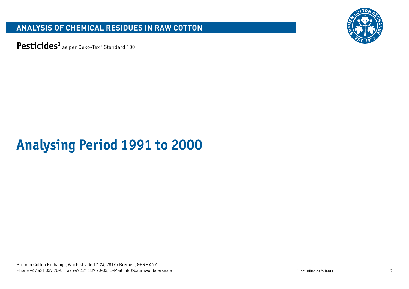

Pesticides<sup>1</sup> as per Oeko-Tex® Standard 100

# **Analysing Period 1991 to 2000**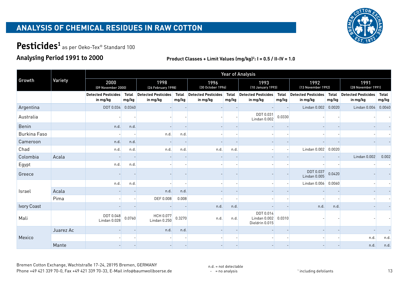

# Pesticides<sup>1</sup> as per Oeko-Tex® Standard 100

### **Analysing Period 1991 to 2000**

#### **Product Classes + Limit Values (mg/kg)2 : I = 0.5 / II-IV = 1.0**

|                     |           |                                        |                       |                                        |                       |                                        |                       | <b>Year of Analysis</b>                       |                |                                        |                       |                                        |                       |
|---------------------|-----------|----------------------------------------|-----------------------|----------------------------------------|-----------------------|----------------------------------------|-----------------------|-----------------------------------------------|----------------|----------------------------------------|-----------------------|----------------------------------------|-----------------------|
| Growth              | Variety   | 2000<br>(09 November 2000)             |                       | 1998<br>[26 February 1998]             |                       | 1996<br>(30 October 1996)              |                       | 1993<br>[10 January 1993]                     |                | 1992<br>(13 November 1992)             |                       | 1991<br>(28 November 1991)             |                       |
|                     |           | <b>Detected Pesticides</b><br>in mg/kg | <b>Total</b><br>mg/kg | <b>Detected Pesticides</b><br>in mg/kg | <b>Total</b><br>mg/kg | <b>Detected Pesticides</b><br>in mg/kg | <b>Total</b><br>mg/kg | <b>Detected Pesticides</b><br>in mg/kg        | Total<br>mg/kg | <b>Detected Pesticides</b><br>in mg/kg | <b>Total</b><br>mg/kg | <b>Detected Pesticides</b><br>in mg/kg | <b>Total</b><br>mg/kg |
| Argentina           |           | <b>DDT 0.034</b>                       | 0.0340                |                                        |                       |                                        |                       |                                               |                | Lindan $0.002$                         | 0.0020                | Lindan $0.004$                         | 0.0040                |
| Australia           |           |                                        |                       |                                        |                       |                                        |                       | DDT 0.031<br>Lindan 0.002                     | 0.0330         |                                        |                       |                                        |                       |
| Benin               |           | n.d.                                   | n.d.                  |                                        |                       |                                        |                       |                                               |                |                                        |                       |                                        |                       |
| <b>Burkina Faso</b> |           |                                        |                       | n.d.                                   | n.d.                  |                                        |                       |                                               |                |                                        |                       |                                        |                       |
| Cameroon            |           | n.d.                                   | n.d.                  |                                        |                       |                                        |                       |                                               |                |                                        |                       |                                        |                       |
| Chad                |           | n.d.                                   | n.d.                  | n.d.                                   | n.d.                  | n.d.                                   | n.d.                  |                                               |                | Lindan $0.002$                         | 0.0020                |                                        |                       |
| Colombia            | Acala     |                                        |                       |                                        |                       |                                        |                       |                                               |                |                                        |                       | Lindan 0.002                           | 0.002                 |
| Egypt               |           | n.d.                                   | n.d.                  |                                        |                       |                                        |                       |                                               |                |                                        |                       |                                        |                       |
| Greece              |           |                                        |                       |                                        |                       |                                        |                       |                                               |                | DDT 0.037<br>Lindan 0.005              | 0.0420                |                                        |                       |
|                     |           | n.d.                                   | n.d.                  |                                        |                       |                                        |                       |                                               |                | Lindan $0.006$                         | 0.0060                |                                        |                       |
| <b>Israel</b>       | Acala     |                                        |                       | n.d.                                   | n.d.                  |                                        |                       |                                               |                |                                        |                       |                                        |                       |
|                     | Pima      |                                        |                       | DEF 0.008                              | 0.008                 |                                        |                       |                                               |                |                                        |                       |                                        |                       |
| Ivory Coast         |           |                                        |                       |                                        |                       | n.d.                                   | n.d.                  |                                               |                | n.d.                                   | n.d.                  |                                        |                       |
| Mali                |           | DDT 0.048<br>Lindan 0.028              | 0.0760                | HCH 0.077<br>Lindan 0.250              | 0.3270                | n.d.                                   | n.d.                  | DDT 0.014<br>Lindan $0.002$<br>Dieldrin 0.015 | 0.0310         |                                        |                       |                                        |                       |
|                     | Juarez Ac |                                        |                       | n.d.                                   | n.d.                  |                                        |                       |                                               |                |                                        |                       |                                        |                       |
| Mexico              |           |                                        |                       |                                        |                       |                                        |                       |                                               |                |                                        |                       | n.d.                                   | n.d.                  |
|                     | Mante     |                                        |                       |                                        |                       |                                        |                       |                                               |                |                                        |                       | n.d.                                   | n.d.                  |

Bremen Cotton Exchange, Wachtstraße 17-24, 28195 Bremen, GERMANY Phone +49 421 339 70-0, Fax +49 421 339 70-33, E-Mail info@baumwollboerse.de 13

n.d. = not detectable  $-$  = no analysis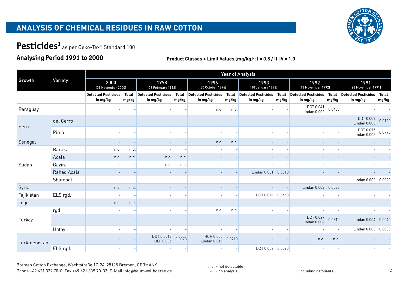

# Pesticides<sup>1</sup> as per Oeko-Tex® Standard 100

## **Analysing Period 1991 to 2000**

| Growth       |             |                                        |                       |                                        |                       |                                        |                       | <b>Year of Analysis</b>                |                       |                                        |                       |                                        |                       |
|--------------|-------------|----------------------------------------|-----------------------|----------------------------------------|-----------------------|----------------------------------------|-----------------------|----------------------------------------|-----------------------|----------------------------------------|-----------------------|----------------------------------------|-----------------------|
|              | Variety     | 2000<br>(09 November 2000)             |                       | 1998<br>(26 February 1998)             |                       | 1996<br>(30 October 1996)              |                       | 1993<br>(10 January 1993)              |                       | 1992<br>(13 November 1992)             |                       | 1991<br>(28 November 1991)             |                       |
|              |             | <b>Detected Pesticides</b><br>in mg/kg | <b>Total</b><br>mg/kg | <b>Detected Pesticides</b><br>in mg/kg | <b>Total</b><br>mg/kg | <b>Detected Pesticides</b><br>in mg/kg | <b>Total</b><br>mg/kg | <b>Detected Pesticides</b><br>in mg/kg | <b>Total</b><br>mg/kg | <b>Detected Pesticides</b><br>in mg/kg | <b>Total</b><br>mg/kg | <b>Detected Pesticides</b><br>in mg/kg | <b>Total</b><br>mg/kg |
| Paraguay     |             |                                        |                       |                                        |                       | n.d.                                   | n.d.                  |                                        |                       | DDT 0.041<br>Lindan 0.002              | 0.0430                |                                        |                       |
|              | del Cerro   |                                        |                       |                                        |                       |                                        |                       |                                        |                       |                                        |                       | DDT 0.009<br>Lindan 0.003              | 0.0120                |
| Peru         | Pima        |                                        |                       |                                        |                       |                                        |                       |                                        |                       |                                        |                       | DDT 0.075<br>Lindan 0.002              | 0.0770                |
| Senegal      |             |                                        |                       |                                        |                       | n.d.                                   | n.d.                  |                                        |                       |                                        |                       |                                        |                       |
|              | Barakat     | n.d.                                   | n.d.                  |                                        |                       |                                        |                       |                                        |                       |                                        |                       |                                        |                       |
|              | Acala       | n.d.                                   | n.d.                  | n.d.                                   | n.d.                  |                                        |                       |                                        |                       |                                        |                       |                                        |                       |
| Sudan        | Gezira      |                                        |                       | n.d.                                   | n.d.                  |                                        |                       |                                        |                       |                                        |                       |                                        |                       |
|              | Rahad Acala |                                        |                       |                                        |                       |                                        |                       | Lindan $0.001$                         | 0.0010                |                                        |                       |                                        |                       |
|              | Shambat     |                                        |                       |                                        |                       |                                        |                       |                                        |                       |                                        |                       | Lindan $0.002$                         | 0.0020                |
| Syria        |             | n.d.                                   | n.d.                  |                                        |                       |                                        |                       |                                        |                       | Lindan $0.003$                         | 0.0030                |                                        |                       |
| Tajikistan   | ELS rgd.    |                                        |                       |                                        |                       |                                        |                       | DDT 0.046 0.0460                       |                       |                                        |                       |                                        |                       |
| Togo         |             | n.d.                                   | n.d.                  |                                        |                       |                                        |                       |                                        |                       |                                        |                       |                                        |                       |
|              | rgd         |                                        |                       |                                        |                       | n.d.                                   | n.d.                  |                                        |                       |                                        |                       |                                        |                       |
| Turkey       |             |                                        |                       |                                        |                       |                                        |                       |                                        |                       | DDT 0.027<br>Lindan 0.004              | 0.0310                | Lindan 0.004                           | 0.0040                |
|              | Hatay       |                                        |                       |                                        |                       |                                        |                       |                                        |                       |                                        |                       | Lindan $0.003$                         | 0.0030                |
| Turkmenistan |             |                                        |                       | DDT 0.0013<br>DEF 0.006                | 0.0073                | HCH 0.005<br>Lindan 0.016              | 0.0210                |                                        |                       | n.d.                                   | n.d.                  |                                        |                       |
|              | ELS rgd.    |                                        |                       |                                        |                       |                                        |                       | DDT 0.059 0.0590                       |                       |                                        |                       |                                        |                       |